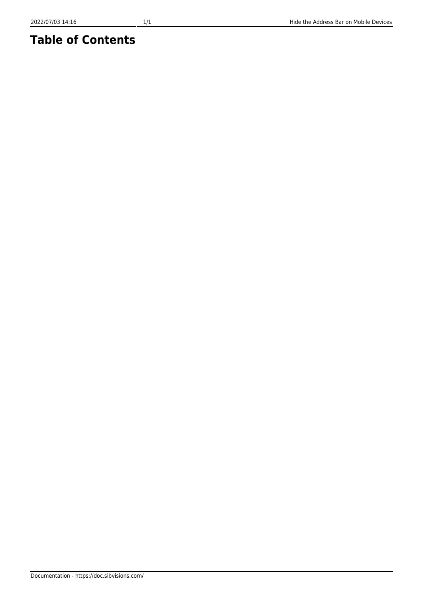## **Table of Contents**